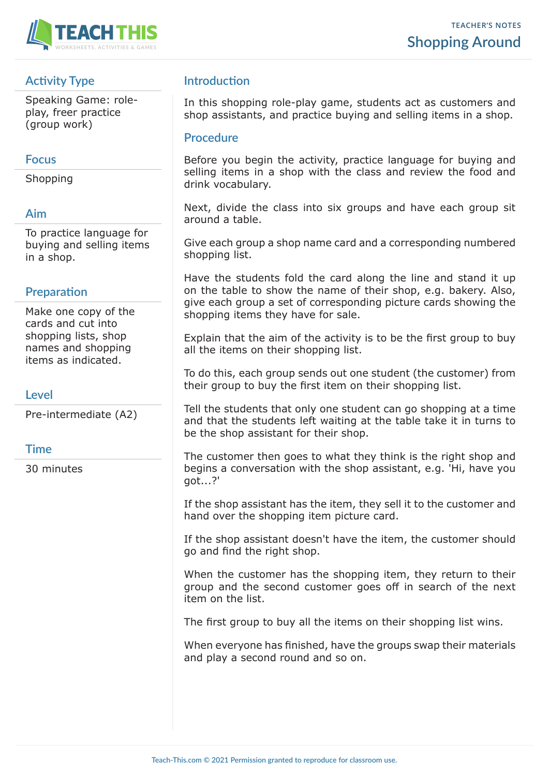

# **Activity Type**

Speaking Game: roleplay, freer practice (group work)

#### **Focus**

Shopping

### **Aim**

To practice language for buying and selling items in a shop.

# **Preparation**

Make one copy of the cards and cut into shopping lists, shop names and shopping items as indicated.

# **Level**

Pre-intermediate (A2)

# **Time**

30 minutes

# **Introduction**

In this shopping role-play game, students act as customers and shop assistants, and practice buying and selling items in a shop.

#### **Procedure**

Before you begin the activity, practice language for buying and selling items in a shop with the class and review the food and drink vocabulary.

Next, divide the class into six groups and have each group sit around a table.

Give each group a shop name card and a corresponding numbered shopping list.

Have the students fold the card along the line and stand it up on the table to show the name of their shop, e.g. bakery. Also, give each group a set of corresponding picture cards showing the shopping items they have for sale.

Explain that the aim of the activity is to be the first group to buy all the items on their shopping list.

To do this, each group sends out one student (the customer) from their group to buy the first item on their shopping list.

Tell the students that only one student can go shopping at a time and that the students left waiting at the table take it in turns to be the shop assistant for their shop.

The customer then goes to what they think is the right shop and begins a conversation with the shop assistant, e.g. 'Hi, have you got...?'

If the shop assistant has the item, they sell it to the customer and hand over the shopping item picture card.

If the shop assistant doesn't have the item, the customer should go and find the right shop.

When the customer has the shopping item, they return to their group and the second customer goes off in search of the next item on the list.

The first group to buy all the items on their shopping list wins.

When everyone has finished, have the groups swap their materials and play a second round and so on.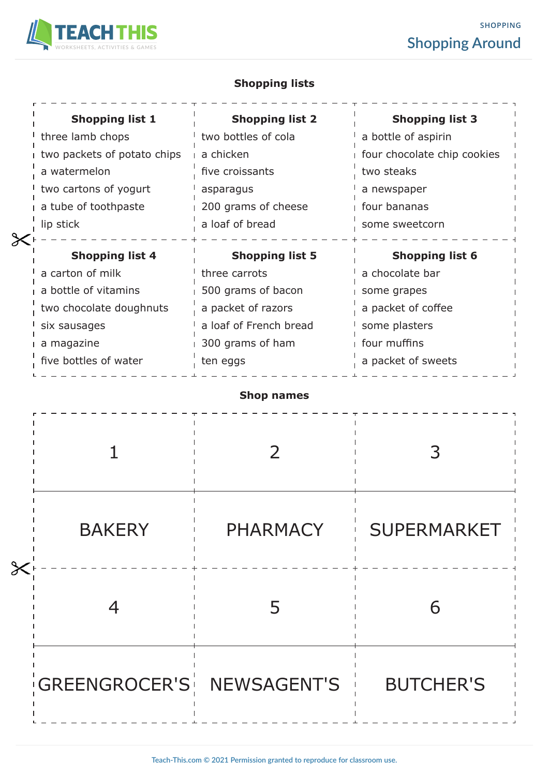

# **SHOPPING Shopping Around**

# **Shopping lists**

| <b>Shopping list 1</b>      | <b>Shopping list 2</b> | <b>Shopping list 3</b>      |
|-----------------------------|------------------------|-----------------------------|
| three lamb chops            | two bottles of cola    | a bottle of aspirin         |
| two packets of potato chips | a chicken              | four chocolate chip cookies |
| a watermelon                | five croissants        | two steaks                  |
| two cartons of yogurt       | asparagus              | a newspaper                 |
| a tube of toothpaste        | 200 grams of cheese    | four bananas                |
| lip stick                   | a loaf of bread        | some sweetcorn              |
| <b>Shopping list 4</b>      | <b>Shopping list 5</b> | <b>Shopping list 6</b>      |
|                             |                        |                             |
| a carton of milk            | three carrots          | a chocolate bar             |
| a bottle of vitamins        | 500 grams of bacon     | some grapes                 |
| two chocolate doughnuts     | a packet of razors     | a packet of coffee          |
| six sausages                | a loaf of French bread | some plasters               |
| a magazine                  | 300 grams of ham       | four muffins                |

# **Shop names**

| $\cancel{\times}$ | <b>BAKERY</b>             | <b>PHARMACY</b> | <b>SUPERMARKET</b> |
|-------------------|---------------------------|-----------------|--------------------|
|                   |                           |                 | 6                  |
|                   | GREENGROCER'S NEWSAGENT'S |                 | <b>BUTCHER'S</b>   |